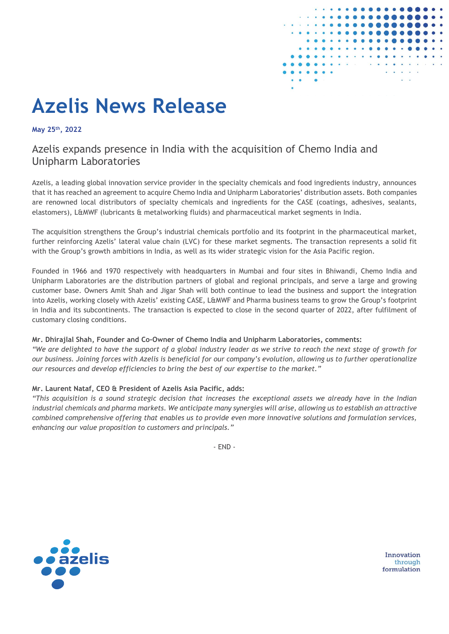

# **Azelis News Release**

**May 25th, 2022**

## Azelis expands presence in India with the acquisition of Chemo India and Unipharm Laboratories

Azelis, a leading global innovation service provider in the specialty chemicals and food ingredients industry, announces that it has reached an agreement to acquire Chemo India and Unipharm Laboratories' distribution assets. Both companies are renowned local distributors of specialty chemicals and ingredients for the CASE (coatings, adhesives, sealants, elastomers), L&MWF (lubricants & metalworking fluids) and pharmaceutical market segments in India.

The acquisition strengthens the Group's industrial chemicals portfolio and its footprint in the pharmaceutical market, further reinforcing Azelis' lateral value chain (LVC) for these market segments. The transaction represents a solid fit with the Group's growth ambitions in India, as well as its wider strategic vision for the Asia Pacific region.

Founded in 1966 and 1970 respectively with headquarters in Mumbai and four sites in Bhiwandi, Chemo India and Unipharm Laboratories are the distribution partners of global and regional principals, and serve a large and growing customer base. Owners Amit Shah and Jigar Shah will both continue to lead the business and support the integration into Azelis, working closely with Azelis' existing CASE, L&MWF and Pharma business teams to grow the Group's footprint in India and its subcontinents. The transaction is expected to close in the second quarter of 2022, after fulfilment of customary closing conditions.

#### **Mr. Dhirajlal Shah, Founder and Co-Owner of Chemo India and Unipharm Laboratories, comments:**

*"We are delighted to have the support of a global industry leader as we strive to reach the next stage of growth for our business. Joining forces with Azelis is beneficial for our company's evolution, allowing us to further operationalize our resources and develop efficiencies to bring the best of our expertise to the market."*

### **Mr. Laurent Nataf, CEO & President of Azelis Asia Pacific, adds:**

*"This acquisition is a sound strategic decision that increases the exceptional assets we already have in the Indian industrial chemicals and pharma markets. We anticipate many synergies will arise, allowing us to establish an attractive combined comprehensive offering that enables us to provide even more innovative solutions and formulation services, enhancing our value proposition to customers and principals."*

- END -



Innovation through formulation